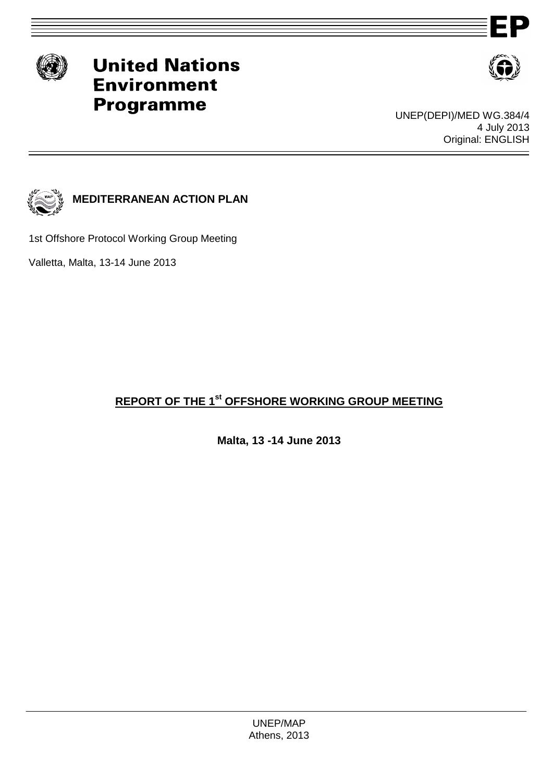

# **United Nations Environment Programme**



UNEP(DEPI)/MED WG.384/4 4 July 2013 Original: ENGLISH



**MEDITERRANEAN ACTION PLAN**

1st Offshore Protocol Working Group Meeting

Valletta, Malta, 13-14 June 2013

## **REPORT OF THE 1 st OFFSHORE WORKING GROUP MEETING**

**Malta, 13 -14 June 2013**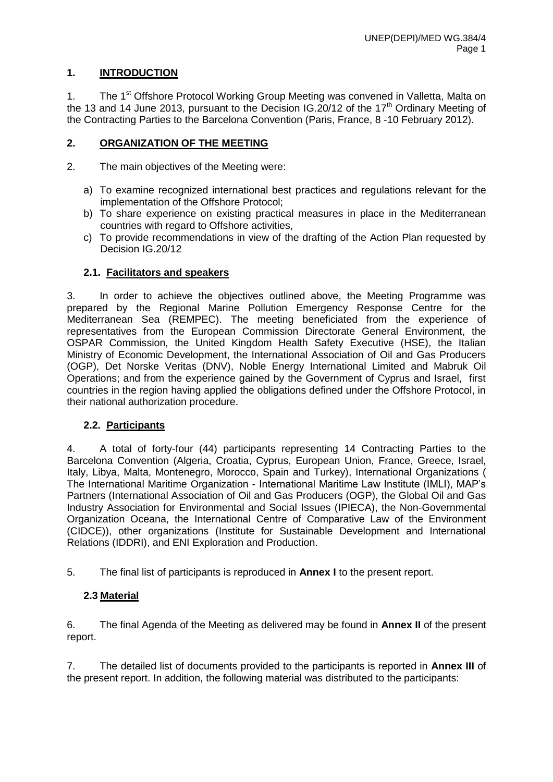## **1. INTRODUCTION**

1. The 1<sup>st</sup> Offshore Protocol Working Group Meeting was convened in Valletta, Malta on the 13 and 14 June 2013, pursuant to the Decision IG.  $20/12$  of the 17<sup>th</sup> Ordinary Meeting of the Contracting Parties to the Barcelona Convention (Paris, France, 8 -10 February 2012).

#### **2. ORGANIZATION OF THE MEETING**

- 2. The main objectives of the Meeting were:
	- a) To examine recognized international best practices and regulations relevant for the implementation of the Offshore Protocol;
	- b) To share experience on existing practical measures in place in the Mediterranean countries with regard to Offshore activities,
	- c) To provide recommendations in view of the drafting of the Action Plan requested by Decision IG.20/12

#### **2.1. Facilitators and speakers**

3. In order to achieve the objectives outlined above, the Meeting Programme was prepared by the Regional Marine Pollution Emergency Response Centre for the Mediterranean Sea (REMPEC). The meeting beneficiated from the experience of representatives from the European Commission Directorate General Environment, the OSPAR Commission, the United Kingdom Health Safety Executive (HSE), the Italian Ministry of Economic Development, the International Association of Oil and Gas Producers (OGP), Det Norske Veritas (DNV), Noble Energy International Limited and Mabruk Oil Operations; and from the experience gained by the Government of Cyprus and Israel, first countries in the region having applied the obligations defined under the Offshore Protocol, in their national authorization procedure.

#### **2.2. Participants**

4. A total of forty-four (44) participants representing 14 Contracting Parties to the Barcelona Convention (Algeria, Croatia, Cyprus, European Union, France, Greece, Israel, Italy, Libya, Malta, Montenegro, Morocco, Spain and Turkey), International Organizations ( The International Maritime Organization - International Maritime Law Institute (IMLI), MAP's Partners (International Association of Oil and Gas Producers (OGP), the Global Oil and Gas Industry Association for Environmental and Social Issues (IPIECA), the Non-Governmental Organization Oceana, the International Centre of Comparative Law of the Environment (CIDCE)), other organizations (Institute for Sustainable Development and International Relations (IDDRI), and ENI Exploration and Production.

5. The final list of participants is reproduced in **Annex I** to the present report.

#### **2.3 Material**

6. The final Agenda of the Meeting as delivered may be found in **Annex II** of the present report.

7. The detailed list of documents provided to the participants is reported in **Annex III** of the present report. In addition, the following material was distributed to the participants: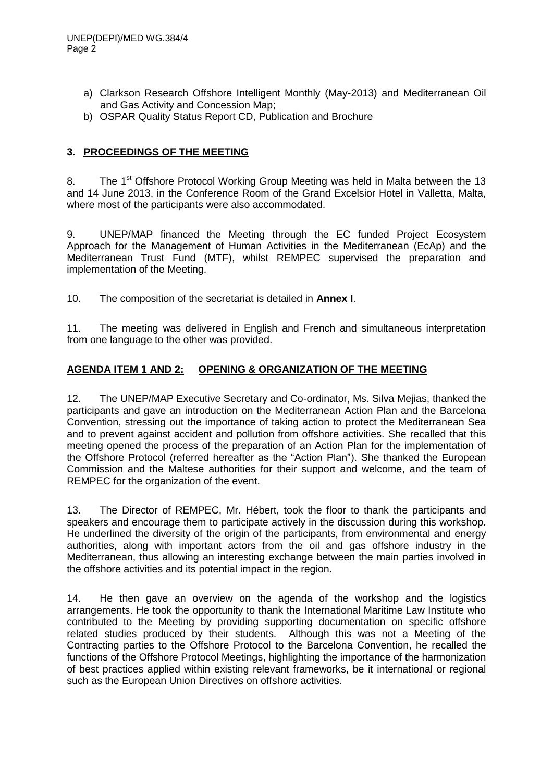- a) Clarkson Research Offshore Intelligent Monthly (May-2013) and Mediterranean Oil and Gas Activity and Concession Map;
- b) OSPAR Quality Status Report CD, Publication and Brochure

## **3. PROCEEDINGS OF THE MEETING**

8. The 1<sup>st</sup> Offshore Protocol Working Group Meeting was held in Malta between the 13 and 14 June 2013, in the Conference Room of the Grand Excelsior Hotel in Valletta, Malta, where most of the participants were also accommodated.

9. UNEP/MAP financed the Meeting through the EC funded Project Ecosystem Approach for the Management of Human Activities in the Mediterranean (EcAp) and the Mediterranean Trust Fund (MTF), whilst REMPEC supervised the preparation and implementation of the Meeting.

10. The composition of the secretariat is detailed in **Annex I**.

11. The meeting was delivered in English and French and simultaneous interpretation from one language to the other was provided.

## **AGENDA ITEM 1 AND 2: OPENING & ORGANIZATION OF THE MEETING**

12. The UNEP/MAP Executive Secretary and Co-ordinator, Ms. Silva Mejias, thanked the participants and gave an introduction on the Mediterranean Action Plan and the Barcelona Convention, stressing out the importance of taking action to protect the Mediterranean Sea and to prevent against accident and pollution from offshore activities. She recalled that this meeting opened the process of the preparation of an Action Plan for the implementation of the Offshore Protocol (referred hereafter as the "Action Plan"). She thanked the European Commission and the Maltese authorities for their support and welcome, and the team of REMPEC for the organization of the event.

13. The Director of REMPEC, Mr. Hébert, took the floor to thank the participants and speakers and encourage them to participate actively in the discussion during this workshop. He underlined the diversity of the origin of the participants, from environmental and energy authorities, along with important actors from the oil and gas offshore industry in the Mediterranean, thus allowing an interesting exchange between the main parties involved in the offshore activities and its potential impact in the region.

14. He then gave an overview on the agenda of the workshop and the logistics arrangements. He took the opportunity to thank the International Maritime Law Institute who contributed to the Meeting by providing supporting documentation on specific offshore related studies produced by their students. Although this was not a Meeting of the Contracting parties to the Offshore Protocol to the Barcelona Convention, he recalled the functions of the Offshore Protocol Meetings, highlighting the importance of the harmonization of best practices applied within existing relevant frameworks, be it international or regional such as the European Union Directives on offshore activities.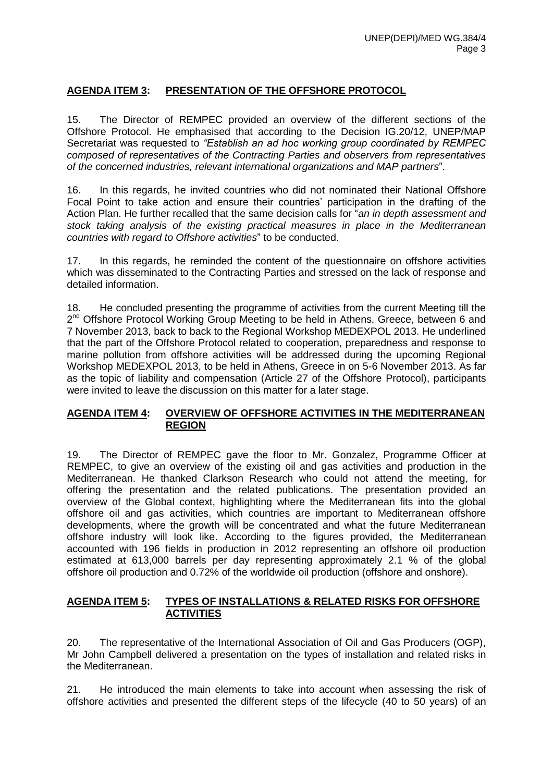## **AGENDA ITEM 3: PRESENTATION OF THE OFFSHORE PROTOCOL**

15. The Director of REMPEC provided an overview of the different sections of the Offshore Protocol. He emphasised that according to the Decision IG.20/12, UNEP/MAP Secretariat was requested to *"Establish an ad hoc working group coordinated by REMPEC composed of representatives of the Contracting Parties and observers from representatives of the concerned industries, relevant international organizations and MAP partners*".

16. In this regards, he invited countries who did not nominated their National Offshore Focal Point to take action and ensure their countries' participation in the drafting of the Action Plan. He further recalled that the same decision calls for "*an in depth assessment and stock taking analysis of the existing practical measures in place in the Mediterranean countries with regard to Offshore activities*" to be conducted.

17. In this regards, he reminded the content of the questionnaire on offshore activities which was disseminated to the Contracting Parties and stressed on the lack of response and detailed information.

18. He concluded presenting the programme of activities from the current Meeting till the 2<sup>nd</sup> Offshore Protocol Working Group Meeting to be held in Athens, Greece, between 6 and 7 November 2013, back to back to the Regional Workshop MEDEXPOL 2013. He underlined that the part of the Offshore Protocol related to cooperation, preparedness and response to marine pollution from offshore activities will be addressed during the upcoming Regional Workshop MEDEXPOL 2013, to be held in Athens, Greece in on 5-6 November 2013. As far as the topic of liability and compensation (Article 27 of the Offshore Protocol), participants were invited to leave the discussion on this matter for a later stage.

## **AGENDA ITEM 4: OVERVIEW OF OFFSHORE ACTIVITIES IN THE MEDITERRANEAN REGION**

19. The Director of REMPEC gave the floor to Mr. Gonzalez, Programme Officer at REMPEC, to give an overview of the existing oil and gas activities and production in the Mediterranean. He thanked Clarkson Research who could not attend the meeting, for offering the presentation and the related publications. The presentation provided an overview of the Global context, highlighting where the Mediterranean fits into the global offshore oil and gas activities, which countries are important to Mediterranean offshore developments, where the growth will be concentrated and what the future Mediterranean offshore industry will look like. According to the figures provided, the Mediterranean accounted with 196 fields in production in 2012 representing an offshore oil production estimated at 613,000 barrels per day representing approximately 2.1 % of the global offshore oil production and 0.72% of the worldwide oil production (offshore and onshore).

#### **AGENDA ITEM 5: TYPES OF INSTALLATIONS & RELATED RISKS FOR OFFSHORE ACTIVITIES**

20. The representative of the International Association of Oil and Gas Producers (OGP), Mr John Campbell delivered a presentation on the types of installation and related risks in the Mediterranean.

21. He introduced the main elements to take into account when assessing the risk of offshore activities and presented the different steps of the lifecycle (40 to 50 years) of an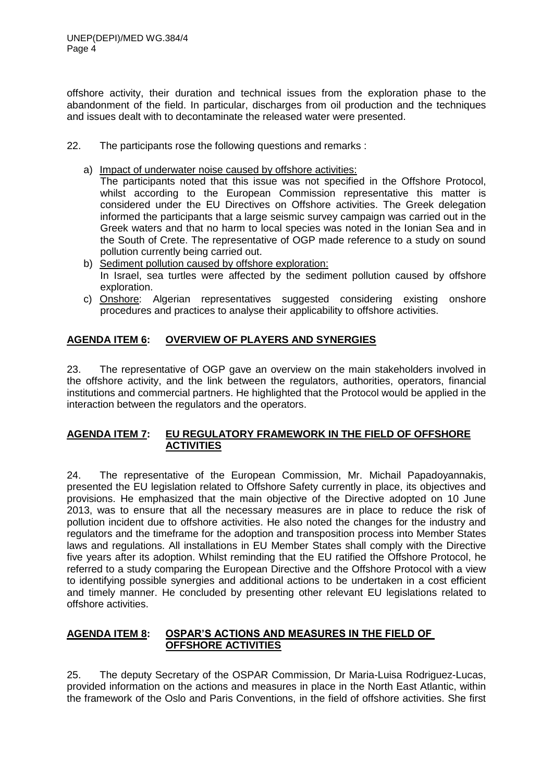offshore activity, their duration and technical issues from the exploration phase to the abandonment of the field. In particular, discharges from oil production and the techniques and issues dealt with to decontaminate the released water were presented.

- 22. The participants rose the following questions and remarks :
	- a) Impact of underwater noise caused by offshore activities:

The participants noted that this issue was not specified in the Offshore Protocol, whilst according to the European Commission representative this matter is considered under the EU Directives on Offshore activities. The Greek delegation informed the participants that a large seismic survey campaign was carried out in the Greek waters and that no harm to local species was noted in the Ionian Sea and in the South of Crete. The representative of OGP made reference to a study on sound pollution currently being carried out.

- b) Sediment pollution caused by offshore exploration: In Israel, sea turtles were affected by the sediment pollution caused by offshore exploration.
- c) Onshore: Algerian representatives suggested considering existing onshore procedures and practices to analyse their applicability to offshore activities.

## **AGENDA ITEM 6: OVERVIEW OF PLAYERS AND SYNERGIES**

23. The representative of OGP gave an overview on the main stakeholders involved in the offshore activity, and the link between the regulators, authorities, operators, financial institutions and commercial partners. He highlighted that the Protocol would be applied in the interaction between the regulators and the operators.

#### **AGENDA ITEM 7: EU REGULATORY FRAMEWORK IN THE FIELD OF OFFSHORE ACTIVITIES**

24. The representative of the European Commission, Mr. Michail Papadoyannakis, presented the EU legislation related to Offshore Safety currently in place, its objectives and provisions. He emphasized that the main objective of the Directive adopted on 10 June 2013, was to ensure that all the necessary measures are in place to reduce the risk of pollution incident due to offshore activities. He also noted the changes for the industry and regulators and the timeframe for the adoption and transposition process into Member States laws and regulations. All installations in EU Member States shall comply with the Directive five years after its adoption. Whilst reminding that the EU ratified the Offshore Protocol, he referred to a study comparing the European Directive and the Offshore Protocol with a view to identifying possible synergies and additional actions to be undertaken in a cost efficient and timely manner. He concluded by presenting other relevant EU legislations related to offshore activities.

## **AGENDA ITEM 8: OSPAR'S ACTIONS AND MEASURES IN THE FIELD OF OFFSHORE ACTIVITIES**

25. The deputy Secretary of the OSPAR Commission, Dr Maria-Luisa Rodriguez-Lucas, provided information on the actions and measures in place in the North East Atlantic, within the framework of the Oslo and Paris Conventions, in the field of offshore activities. She first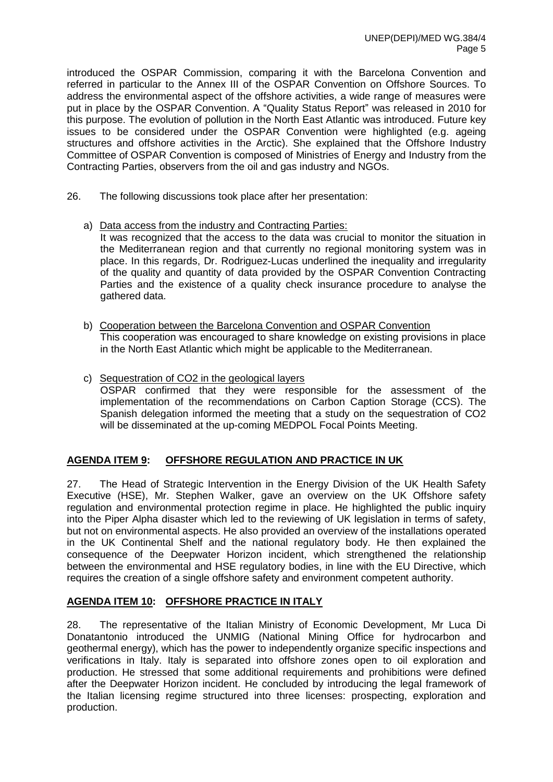introduced the OSPAR Commission, comparing it with the Barcelona Convention and referred in particular to the Annex III of the OSPAR Convention on Offshore Sources. To address the environmental aspect of the offshore activities, a wide range of measures were put in place by the OSPAR Convention. A "Quality Status Report" was released in 2010 for this purpose. The evolution of pollution in the North East Atlantic was introduced. Future key issues to be considered under the OSPAR Convention were highlighted (e.g. ageing structures and offshore activities in the Arctic). She explained that the Offshore Industry Committee of OSPAR Convention is composed of Ministries of Energy and Industry from the Contracting Parties, observers from the oil and gas industry and NGOs.

- 26. The following discussions took place after her presentation:
	- a) Data access from the industry and Contracting Parties:

It was recognized that the access to the data was crucial to monitor the situation in the Mediterranean region and that currently no regional monitoring system was in place. In this regards, Dr. Rodriguez-Lucas underlined the inequality and irregularity of the quality and quantity of data provided by the OSPAR Convention Contracting Parties and the existence of a quality check insurance procedure to analyse the gathered data.

- b) Cooperation between the Barcelona Convention and OSPAR Convention This cooperation was encouraged to share knowledge on existing provisions in place in the North East Atlantic which might be applicable to the Mediterranean.
- c) Sequestration of CO2 in the geological layers OSPAR confirmed that they were responsible for the assessment of the implementation of the recommendations on Carbon Caption Storage (CCS). The Spanish delegation informed the meeting that a study on the sequestration of CO2 will be disseminated at the up-coming MEDPOL Focal Points Meeting.

## **AGENDA ITEM 9: OFFSHORE REGULATION AND PRACTICE IN UK**

27. The Head of Strategic Intervention in the Energy Division of the UK Health Safety Executive (HSE), Mr. Stephen Walker, gave an overview on the UK Offshore safety regulation and environmental protection regime in place. He highlighted the public inquiry into the Piper Alpha disaster which led to the reviewing of UK legislation in terms of safety, but not on environmental aspects. He also provided an overview of the installations operated in the UK Continental Shelf and the national regulatory body. He then explained the consequence of the Deepwater Horizon incident, which strengthened the relationship between the environmental and HSE regulatory bodies, in line with the EU Directive, which requires the creation of a single offshore safety and environment competent authority.

#### **AGENDA ITEM 10: OFFSHORE PRACTICE IN ITALY**

28. The representative of the Italian Ministry of Economic Development, Mr Luca Di Donatantonio introduced the UNMIG (National Mining Office for hydrocarbon and geothermal energy), which has the power to independently organize specific inspections and verifications in Italy. Italy is separated into offshore zones open to oil exploration and production. He stressed that some additional requirements and prohibitions were defined after the Deepwater Horizon incident. He concluded by introducing the legal framework of the Italian licensing regime structured into three licenses: prospecting, exploration and production.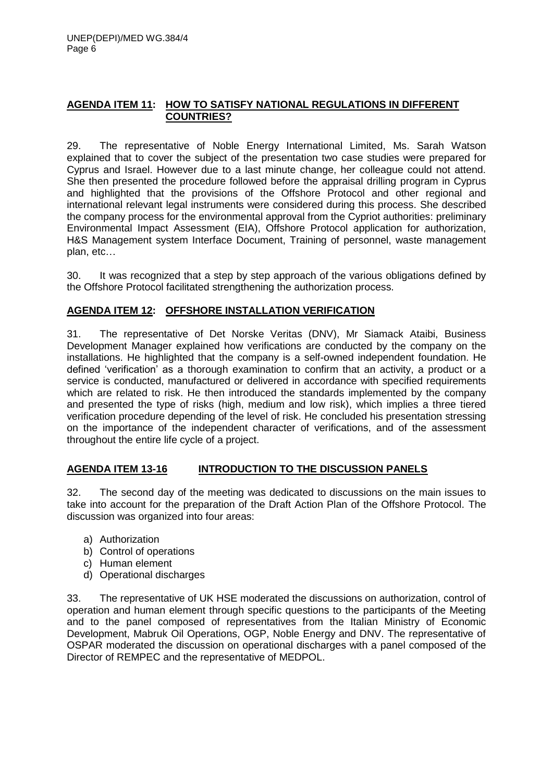## **AGENDA ITEM 11: HOW TO SATISFY NATIONAL REGULATIONS IN DIFFERENT COUNTRIES?**

29. The representative of Noble Energy International Limited, Ms. Sarah Watson explained that to cover the subject of the presentation two case studies were prepared for Cyprus and Israel. However due to a last minute change, her colleague could not attend. She then presented the procedure followed before the appraisal drilling program in Cyprus and highlighted that the provisions of the Offshore Protocol and other regional and international relevant legal instruments were considered during this process. She described the company process for the environmental approval from the Cypriot authorities: preliminary Environmental Impact Assessment (EIA), Offshore Protocol application for authorization, H&S Management system Interface Document, Training of personnel, waste management plan, etc…

30. It was recognized that a step by step approach of the various obligations defined by the Offshore Protocol facilitated strengthening the authorization process.

#### **AGENDA ITEM 12: OFFSHORE INSTALLATION VERIFICATION**

31. The representative of Det Norske Veritas (DNV), Mr Siamack Ataibi, Business Development Manager explained how verifications are conducted by the company on the installations. He highlighted that the company is a self-owned independent foundation. He defined 'verification' as a thorough examination to confirm that an activity, a product or a service is conducted, manufactured or delivered in accordance with specified requirements which are related to risk. He then introduced the standards implemented by the company and presented the type of risks (high, medium and low risk), which implies a three tiered verification procedure depending of the level of risk. He concluded his presentation stressing on the importance of the independent character of verifications, and of the assessment throughout the entire life cycle of a project.

#### **AGENDA ITEM 13-16 INTRODUCTION TO THE DISCUSSION PANELS**

32. The second day of the meeting was dedicated to discussions on the main issues to take into account for the preparation of the Draft Action Plan of the Offshore Protocol. The discussion was organized into four areas:

- a) Authorization
- b) Control of operations
- c) Human element
- d) Operational discharges

33. The representative of UK HSE moderated the discussions on authorization, control of operation and human element through specific questions to the participants of the Meeting and to the panel composed of representatives from the Italian Ministry of Economic Development, Mabruk Oil Operations, OGP, Noble Energy and DNV. The representative of OSPAR moderated the discussion on operational discharges with a panel composed of the Director of REMPEC and the representative of MEDPOL.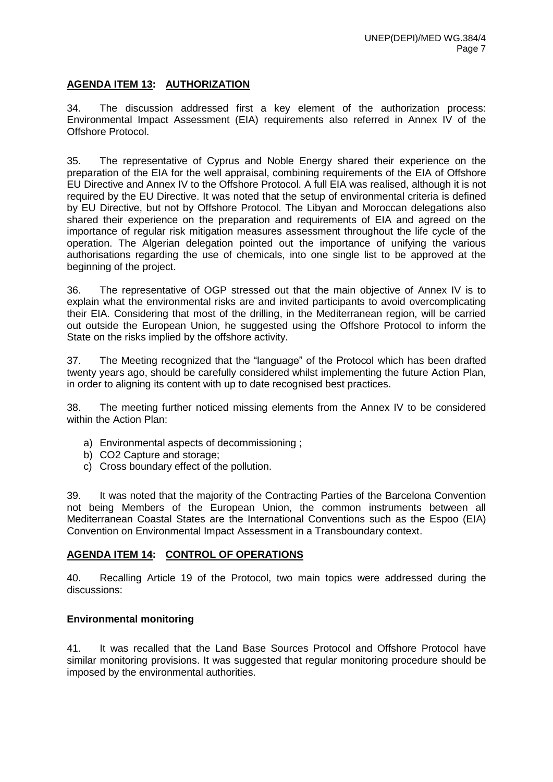## **AGENDA ITEM 13: AUTHORIZATION**

34. The discussion addressed first a key element of the authorization process: Environmental Impact Assessment (EIA) requirements also referred in Annex IV of the Offshore Protocol.

35. The representative of Cyprus and Noble Energy shared their experience on the preparation of the EIA for the well appraisal, combining requirements of the EIA of Offshore EU Directive and Annex IV to the Offshore Protocol. A full EIA was realised, although it is not required by the EU Directive. It was noted that the setup of environmental criteria is defined by EU Directive, but not by Offshore Protocol. The Libyan and Moroccan delegations also shared their experience on the preparation and requirements of EIA and agreed on the importance of regular risk mitigation measures assessment throughout the life cycle of the operation. The Algerian delegation pointed out the importance of unifying the various authorisations regarding the use of chemicals, into one single list to be approved at the beginning of the project.

36. The representative of OGP stressed out that the main objective of Annex IV is to explain what the environmental risks are and invited participants to avoid overcomplicating their EIA. Considering that most of the drilling, in the Mediterranean region, will be carried out outside the European Union, he suggested using the Offshore Protocol to inform the State on the risks implied by the offshore activity.

37. The Meeting recognized that the "language" of the Protocol which has been drafted twenty years ago, should be carefully considered whilst implementing the future Action Plan, in order to aligning its content with up to date recognised best practices.

38. The meeting further noticed missing elements from the Annex IV to be considered within the Action Plan:

- a) Environmental aspects of decommissioning ;
- b) CO2 Capture and storage;
- c) Cross boundary effect of the pollution.

39. It was noted that the majority of the Contracting Parties of the Barcelona Convention not being Members of the European Union, the common instruments between all Mediterranean Coastal States are the International Conventions such as the Espoo (EIA) Convention on Environmental Impact Assessment in a Transboundary context.

#### **AGENDA ITEM 14: CONTROL OF OPERATIONS**

40. Recalling Article 19 of the Protocol, two main topics were addressed during the discussions:

#### **Environmental monitoring**

41. It was recalled that the Land Base Sources Protocol and Offshore Protocol have similar monitoring provisions. It was suggested that regular monitoring procedure should be imposed by the environmental authorities.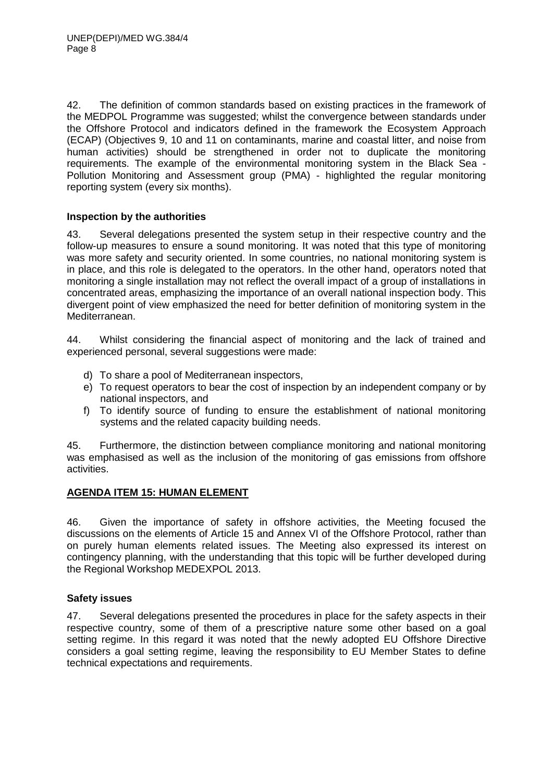42. The definition of common standards based on existing practices in the framework of the MEDPOL Programme was suggested; whilst the convergence between standards under the Offshore Protocol and indicators defined in the framework the Ecosystem Approach (ECAP) (Objectives 9, 10 and 11 on contaminants, marine and coastal litter, and noise from human activities) should be strengthened in order not to duplicate the monitoring requirements. The example of the environmental monitoring system in the Black Sea - Pollution Monitoring and Assessment group (PMA) - highlighted the regular monitoring reporting system (every six months).

#### **Inspection by the authorities**

43. Several delegations presented the system setup in their respective country and the follow-up measures to ensure a sound monitoring. It was noted that this type of monitoring was more safety and security oriented. In some countries, no national monitoring system is in place, and this role is delegated to the operators. In the other hand, operators noted that monitoring a single installation may not reflect the overall impact of a group of installations in concentrated areas, emphasizing the importance of an overall national inspection body. This divergent point of view emphasized the need for better definition of monitoring system in the Mediterranean.

44. Whilst considering the financial aspect of monitoring and the lack of trained and experienced personal, several suggestions were made:

- d) To share a pool of Mediterranean inspectors,
- e) To request operators to bear the cost of inspection by an independent company or by national inspectors, and
- f) To identify source of funding to ensure the establishment of national monitoring systems and the related capacity building needs.

45. Furthermore, the distinction between compliance monitoring and national monitoring was emphasised as well as the inclusion of the monitoring of gas emissions from offshore activities.

#### **AGENDA ITEM 15: HUMAN ELEMENT**

46. Given the importance of safety in offshore activities, the Meeting focused the discussions on the elements of Article 15 and Annex VI of the Offshore Protocol, rather than on purely human elements related issues. The Meeting also expressed its interest on contingency planning, with the understanding that this topic will be further developed during the Regional Workshop MEDEXPOL 2013.

#### **Safety issues**

47. Several delegations presented the procedures in place for the safety aspects in their respective country, some of them of a prescriptive nature some other based on a goal setting regime. In this regard it was noted that the newly adopted EU Offshore Directive considers a goal setting regime, leaving the responsibility to EU Member States to define technical expectations and requirements.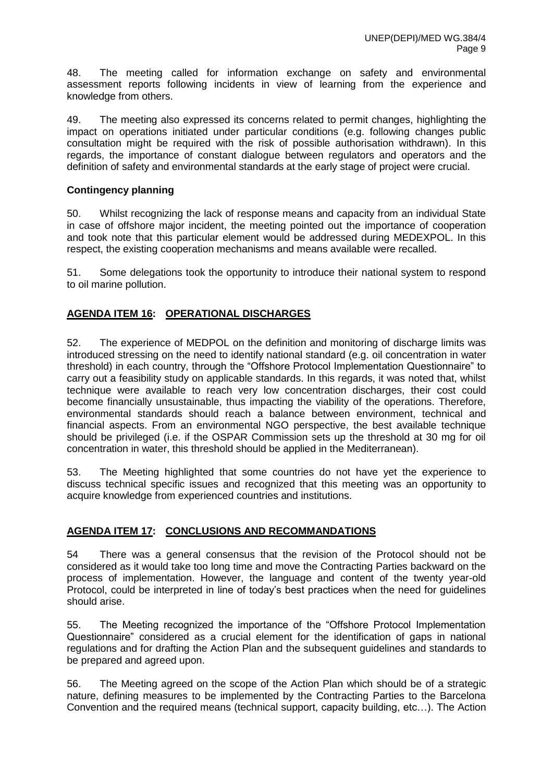48. The meeting called for information exchange on safety and environmental assessment reports following incidents in view of learning from the experience and knowledge from others.

49. The meeting also expressed its concerns related to permit changes, highlighting the impact on operations initiated under particular conditions (e.g. following changes public consultation might be required with the risk of possible authorisation withdrawn). In this regards, the importance of constant dialogue between regulators and operators and the definition of safety and environmental standards at the early stage of project were crucial.

## **Contingency planning**

50. Whilst recognizing the lack of response means and capacity from an individual State in case of offshore major incident, the meeting pointed out the importance of cooperation and took note that this particular element would be addressed during MEDEXPOL. In this respect, the existing cooperation mechanisms and means available were recalled.

51. Some delegations took the opportunity to introduce their national system to respond to oil marine pollution.

## **AGENDA ITEM 16: OPERATIONAL DISCHARGES**

52. The experience of MEDPOL on the definition and monitoring of discharge limits was introduced stressing on the need to identify national standard (e.g. oil concentration in water threshold) in each country, through the "Offshore Protocol Implementation Questionnaire" to carry out a feasibility study on applicable standards. In this regards, it was noted that, whilst technique were available to reach very low concentration discharges, their cost could become financially unsustainable, thus impacting the viability of the operations. Therefore, environmental standards should reach a balance between environment, technical and financial aspects. From an environmental NGO perspective, the best available technique should be privileged (i.e. if the OSPAR Commission sets up the threshold at 30 mg for oil concentration in water, this threshold should be applied in the Mediterranean).

53. The Meeting highlighted that some countries do not have yet the experience to discuss technical specific issues and recognized that this meeting was an opportunity to acquire knowledge from experienced countries and institutions.

#### **AGENDA ITEM 17: CONCLUSIONS AND RECOMMANDATIONS**

54 There was a general consensus that the revision of the Protocol should not be considered as it would take too long time and move the Contracting Parties backward on the process of implementation. However, the language and content of the twenty year-old Protocol, could be interpreted in line of today's best practices when the need for guidelines should arise.

55. The Meeting recognized the importance of the "Offshore Protocol Implementation Questionnaire" considered as a crucial element for the identification of gaps in national regulations and for drafting the Action Plan and the subsequent guidelines and standards to be prepared and agreed upon.

56. The Meeting agreed on the scope of the Action Plan which should be of a strategic nature, defining measures to be implemented by the Contracting Parties to the Barcelona Convention and the required means (technical support, capacity building, etc…). The Action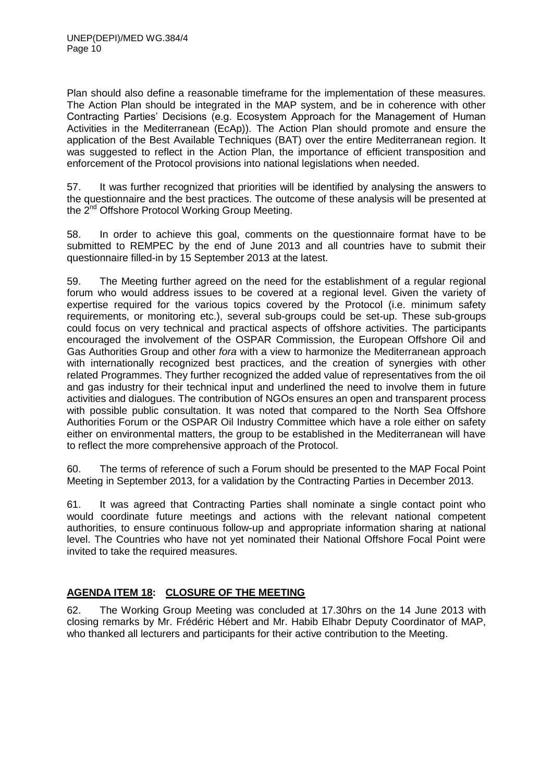Plan should also define a reasonable timeframe for the implementation of these measures. The Action Plan should be integrated in the MAP system, and be in coherence with other Contracting Parties' Decisions (e.g. Ecosystem Approach for the Management of Human Activities in the Mediterranean (EcAp)). The Action Plan should promote and ensure the application of the Best Available Techniques (BAT) over the entire Mediterranean region. It was suggested to reflect in the Action Plan, the importance of efficient transposition and enforcement of the Protocol provisions into national legislations when needed.

57. It was further recognized that priorities will be identified by analysing the answers to the questionnaire and the best practices. The outcome of these analysis will be presented at the 2<sup>nd</sup> Offshore Protocol Working Group Meeting.

58. In order to achieve this goal, comments on the questionnaire format have to be submitted to REMPEC by the end of June 2013 and all countries have to submit their questionnaire filled-in by 15 September 2013 at the latest.

59. The Meeting further agreed on the need for the establishment of a regular regional forum who would address issues to be covered at a regional level. Given the variety of expertise required for the various topics covered by the Protocol (i.e. minimum safety requirements, or monitoring etc.), several sub-groups could be set-up. These sub-groups could focus on very technical and practical aspects of offshore activities. The participants encouraged the involvement of the OSPAR Commission, the European Offshore Oil and Gas Authorities Group and other *fora* with a view to harmonize the Mediterranean approach with internationally recognized best practices, and the creation of synergies with other related Programmes. They further recognized the added value of representatives from the oil and gas industry for their technical input and underlined the need to involve them in future activities and dialogues. The contribution of NGOs ensures an open and transparent process with possible public consultation. It was noted that compared to the North Sea Offshore Authorities Forum or the OSPAR Oil Industry Committee which have a role either on safety either on environmental matters, the group to be established in the Mediterranean will have to reflect the more comprehensive approach of the Protocol.

60. The terms of reference of such a Forum should be presented to the MAP Focal Point Meeting in September 2013, for a validation by the Contracting Parties in December 2013.

61. It was agreed that Contracting Parties shall nominate a single contact point who would coordinate future meetings and actions with the relevant national competent authorities, to ensure continuous follow-up and appropriate information sharing at national level. The Countries who have not yet nominated their National Offshore Focal Point were invited to take the required measures.

## **AGENDA ITEM 18: CLOSURE OF THE MEETING**

62. The Working Group Meeting was concluded at 17.30hrs on the 14 June 2013 with closing remarks by Mr. Frédéric Hébert and Mr. Habib Elhabr Deputy Coordinator of MAP, who thanked all lecturers and participants for their active contribution to the Meeting.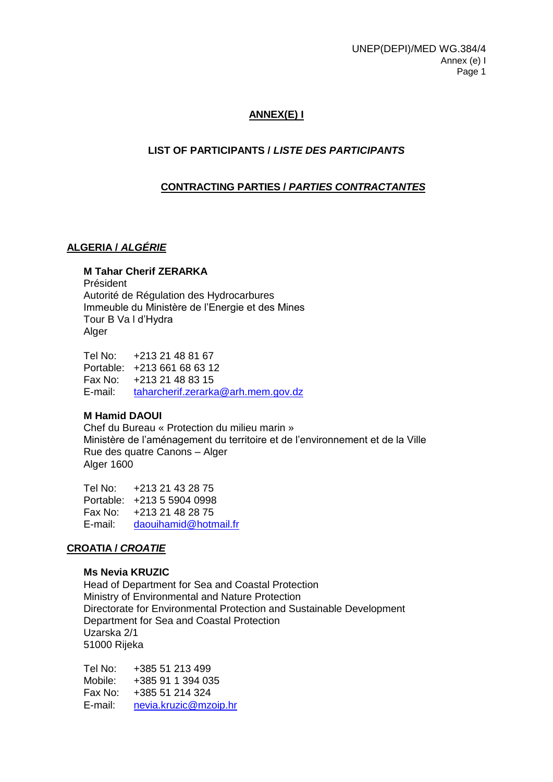## **ANNEX(E) I**

## **LIST OF PARTICIPANTS /** *LISTE DES PARTICIPANTS*

## **CONTRACTING PARTIES /** *PARTIES CONTRACTANTES*

## **ALGERIA /** *ALGÉRIE*

#### **M Tahar Cherif ZERARKA**

Président Autorité de Régulation des Hydrocarbures Immeuble du Ministère de l'Energie et des Mines Tour B Va l d'Hydra Alger

Tel No: +213 21 48 81 67 Portable: +213 661 68 63 12 Fax No: +213 21 48 83 15 E-mail: [taharcherif.zerarka@arh.mem.gov.dz](mailto:taharcherif.zerarka@arh.mem.gov.dz)

## **M Hamid DAOUI**

Chef du Bureau « Protection du milieu marin » Ministère de l'aménagement du territoire et de l'environnement et de la Ville Rue des quatre Canons – Alger Alger 1600

Tel No: +213 21 43 28 75 Portable: +213 5 5904 0998 Fax No: +213 21 48 28 75 E-mail: [daouihamid@hotmail.fr](mailto:daouihamid@hotmail.fr)

## **CROATIA /** *CROATIE*

#### **Ms Nevia KRUZIC**

Head of Department for Sea and Coastal Protection Ministry of Environmental and Nature Protection Directorate for Environmental Protection and Sustainable Development Department for Sea and Coastal Protection Uzarska 2/1 51000 Rijeka

Tel No: +385 51 213 499 Mobile: +385 91 1 394 035 Fax No: +385 51 214 324 E-mail: [nevia.kruzic@mzoip.hr](mailto:nevia.kruzic@mzoip.hr)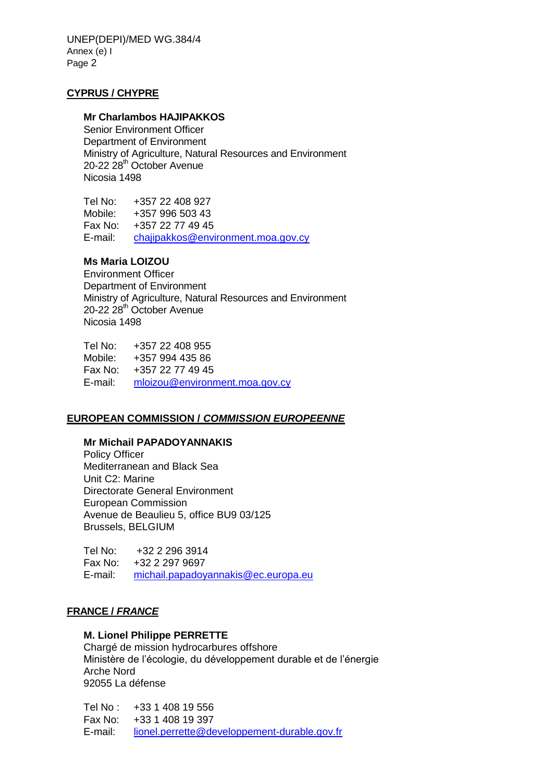UNEP(DEPI)/MED WG.384/4 Annex (e) I Page 2

#### **CYPRUS / CHYPRE**

#### **Mr Charlambos HAJIPAKKOS**

Senior Environment Officer Department of Environment Ministry of Agriculture, Natural Resources and Environment 20-22 28<sup>th</sup> October Avenue Nicosia 1498

Tel No: +357 22 408 927 Mobile: +357 996 503 43 Fax No: +357 22 77 49 45 E-mail: [chajipakkos@environment.moa.gov.cy](mailto:chajipakkos@environment.moa.gov.cy)

## **Ms Maria LOIZOU**

Environment Officer Department of Environment Ministry of Agriculture, Natural Resources and Environment 20-22 28<sup>th</sup> October Avenue Nicosia 1498

Tel No: +357 22 408 955 Mobile: +357 994 435 86 Fax No: +357 22 77 49 45 E-mail: [mloizou@environment.moa.gov.cy](mailto:mloizou@environment.moa.gov.cy)

#### **EUROPEAN COMMISSION /** *COMMISSION EUROPEENNE*

#### **Mr Michail PAPADOYANNAKIS**

Policy Officer Mediterranean and Black Sea Unit C2: Marine Directorate General Environment European Commission Avenue de Beaulieu 5, office BU9 03/125 Brussels, BELGIUM

Tel No: +32 2 296 3914 Fax No: +32 2 297 9697 E-mail: [michail.papadoyannakis@ec.europa.eu](mailto:michail.papadoyannakis@ec.europa.eu)

#### **FRANCE /** *FRANCE*

#### **M. Lionel Philippe PERRETTE**

Chargé de mission hydrocarbures offshore Ministère de l'écologie, du développement durable et de l'énergie Arche Nord 92055 La défense

Tel No : +33 1 408 19 556 Fax No: +33 1 408 19 397 E-mail: [lionel.perrette@developpement-durable.gov.fr](mailto:lionel.perrette@developpement-durable.gov.fr)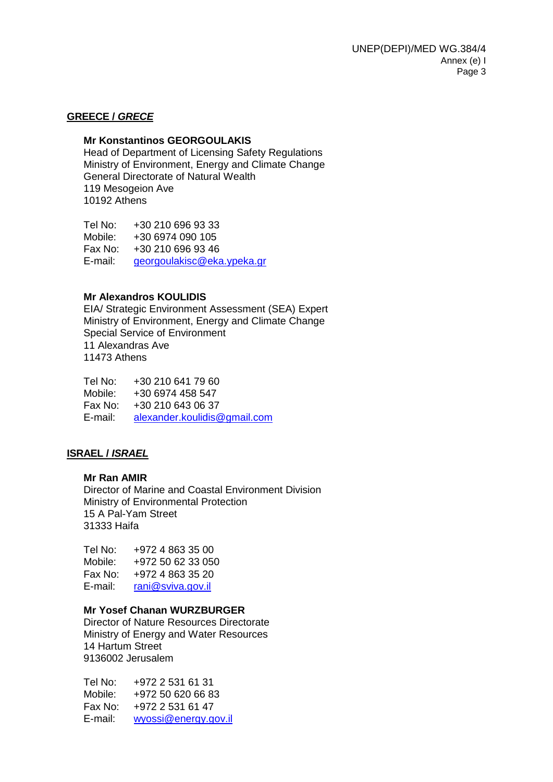#### **GREECE /** *GRECE*

#### **Mr Konstantinos GEORGOULAKIS**

Head of Department of Licensing Safety Regulations Ministry of Environment, Energy and Climate Change General Directorate of Natural Wealth 119 Mesogeion Ave 10192 Athens

Tel No: +30 210 696 93 33 Mobile: +30 6974 090 105 Fax No: +30 210 696 93 46 E-mail: [georgoulakisc@eka.ypeka.gr](mailto:georgoulakisc@eka.ypeka.gr)

#### **Mr Alexandros KOULIDIS**

EIA/ Strategic Environment Assessment (SEA) Expert Ministry of Environment, Energy and Climate Change Special Service of Environment 11 Alexandras Ave 11473 Athens

Tel No: +30 210 641 79 60 Mobile: +30 6974 458 547 Fax No: +30 210 643 06 37 E-mail: [alexander.koulidis@gmail.com](mailto:alexander.koulidis@gmail.com)

#### **ISRAEL /** *ISRAEL*

#### **Mr Ran AMIR**

Director of Marine and Coastal Environment Division Ministry of Environmental Protection 15 A Pal-Yam Street 31333 Haifa

| Tel No: | +972 4 863 35 00  |
|---------|-------------------|
| Mobile: | +972 50 62 33 050 |
| Fax No: | +972 4 863 35 20  |
| E-mail: | rani@sviva.gov.il |

#### **Mr Yosef Chanan WURZBURGER**

Director of Nature Resources Directorate Ministry of Energy and Water Resources 14 Hartum Street 9136002 Jerusalem

Tel No: +972 2 531 61 31 Mobile: +972 50 620 66 83 Fax No: +972 2 531 61 47 E-mail: [wyossi@energy.gov.il](mailto:wyossi@energy.gov.il)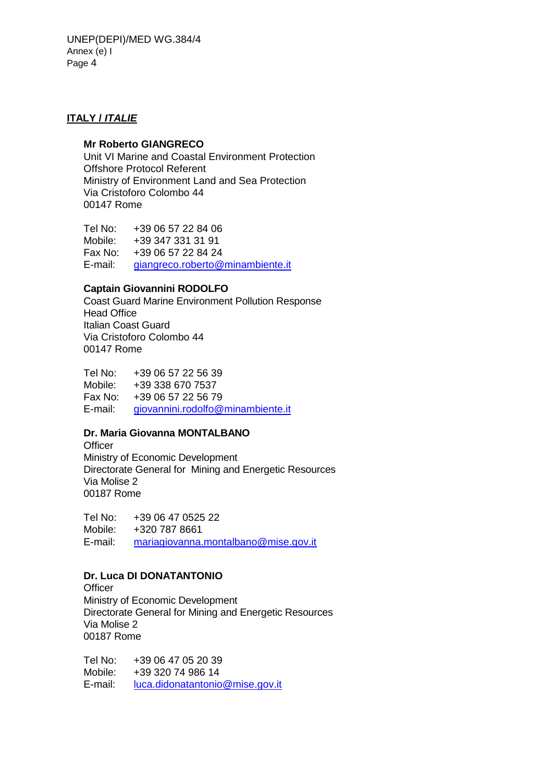## **ITALY /** *ITALIE*

#### **Mr Roberto GIANGRECO**

Unit VI Marine and Coastal Environment Protection Offshore Protocol Referent Ministry of Environment Land and Sea Protection Via Cristoforo Colombo 44 00147 Rome

Tel No: +39 06 57 22 84 06 Mobile: +39 347 331 31 91 Fax No: +39 06 57 22 84 24 E-mail: [giangreco.roberto@minambiente.it](mailto:giangreco.roberto@minambiente.it)

#### **Captain Giovannini RODOLFO**

Coast Guard Marine Environment Pollution Response Head Office Italian Coast Guard Via Cristoforo Colombo 44 00147 Rome

Tel No: +39 06 57 22 56 39 Mobile: +39 338 670 7537 Fax No: +39 06 57 22 56 79 E-mail: [giovannini.rodolfo@minambiente.it](mailto:giovannini.rodolfo@minambiente.it)

## **Dr. Maria Giovanna MONTALBANO**

**Officer** Ministry of Economic Development Directorate General for Mining and Energetic Resources Via Molise 2 00187 Rome

Tel No: +39 06 47 0525 22 Mobile: +320 787 8661 E-mail: mariagiovanna.montalbano@mise.gov.it

## **Dr. Luca DI DONATANTONIO**

**Officer** Ministry of Economic Development Directorate General for Mining and Energetic Resources Via Molise 2 00187 Rome

Tel No: +39 06 47 05 20 39 Mobile: +39 320 74 986 14 E-mail: luca.didonatantonio@mise.gov.it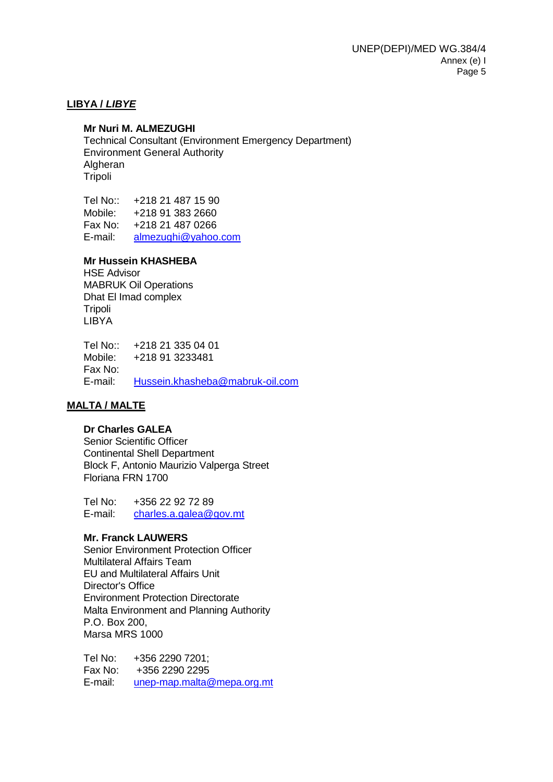#### **LIBYA /** *LIBYE*

#### **Mr Nuri M. ALMEZUGHI**

Technical Consultant (Environment Emergency Department) Environment General Authority Algheran Tripoli

Tel No:: +218 21 487 15 90 Mobile: +218 91 383 2660 Fax No: +218 21 487 0266 E-mail: [almezughi@yahoo.com](mailto:almezughi@yahoo.com)

#### **Mr Hussein KHASHEBA**

HSE Advisor MABRUK Oil Operations Dhat El Imad complex **Tripoli** LIBYA

Tel No:: +218 21 335 04 01 Mobile: +218 91 3233481 Fax No: E-mail: [Hussein.khasheba@mabruk-oil.com](mailto:Hussein.khasheba@mabruk-oil.com)

#### **MALTA / MALTE**

#### **Dr Charles GALEA**

Senior Scientific Officer Continental Shell Department Block F, Antonio Maurizio Valperga Street Floriana FRN 1700

Tel No: +356 22 92 72 89 E-mail: [charles.a.galea@gov.mt](mailto:charles.a.galea@gov.mt)

#### **Mr. Franck LAUWERS**

Senior Environment Protection Officer Multilateral Affairs Team EU and Multilateral Affairs Unit Director's Office Environment Protection Directorate Malta Environment and Planning Authority P.O. Box 200, Marsa MRS 1000

Tel No: +356 2290 7201; Fax No: +356 2290 2295 E-mail: [unep-map.malta@mepa.org.mt](mailto:unep-map.malta@mepa.org.mt)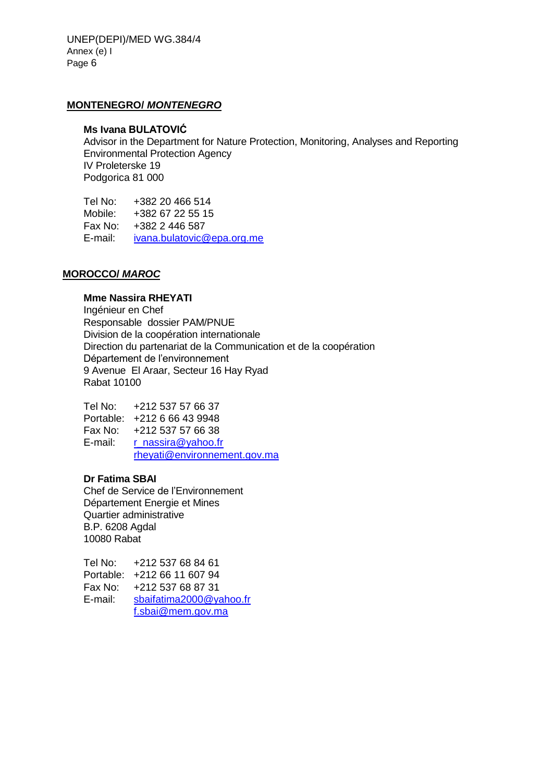UNEP(DEPI)/MED WG.384/4 Annex (e) I Page 6

#### **MONTENEGRO/** *MONTENEGRO*

#### **Ms Ivana BULATOVIĆ**

Advisor in the Department for Nature Protection, Monitoring, Analyses and Reporting Environmental Protection Agency IV Proleterske 19 Podgorica 81 000

Tel No: +382 20 466 514 Mobile: +382 67 22 55 15 Fax No: +382 2 446 587 E-mail: [ivana.bulatovic@epa.org.me](mailto:ivana.bulatovic@epa.org.me)

#### **MOROCCO/** *MAROC*

#### **Mme Nassira RHEYATI**

Ingénieur en Chef Responsable dossier PAM/PNUE Division de la coopération internationale Direction du partenariat de la Communication et de la coopération Département de l'environnement 9 Avenue El Araar, Secteur 16 Hay Ryad Rabat 10100

Tel No: +212 537 57 66 37 Portable: +212 6 66 43 9948 Fax No: +212 537 57 66 38 E-mail: r\_nassira@yahoo.fr [rheyati@environnement.gov.ma](mailto:rheyati@environnement.gov.ma)

#### **Dr Fatima SBAI**

Chef de Service de l'Environnement Département Energie et Mines Quartier administrative B.P. 6208 Agdal 10080 Rabat

Tel No: +212 537 68 84 61 Portable: +212 66 11 607 94 Fax No: +212 537 68 87 31 E-mail: [sbaifatima2000@yahoo.fr](mailto:sbaifatima2000@yahoo.fr) [f.sbai@mem.gov.ma](mailto:f.sbai@mem.gov.ma)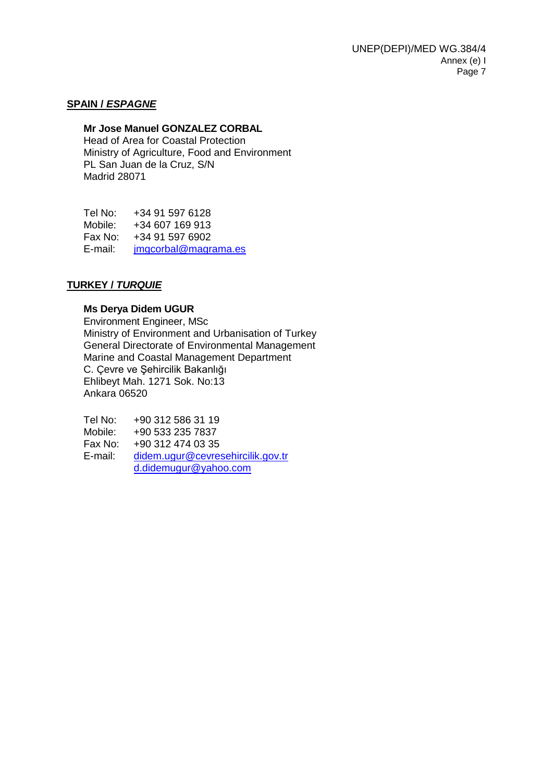#### **SPAIN /** *ESPAGNE*

#### **Mr Jose Manuel GONZALEZ CORBAL**

Head of Area for Coastal Protection Ministry of Agriculture, Food and Environment PL San Juan de la Cruz, S/N Madrid 28071

Tel No: +34 91 597 6128 Mobile: +34 607 169 913 Fax No: +34 91 597 6902 E-mail: [jmgcorbal@magrama.es](mailto:jmgcorbal@magrama.es)

#### **TURKEY /** *TURQUIE*

#### **Ms Derya Didem UGUR**

Environment Engineer, MSc Ministry of Environment and Urbanisation of Turkey General Directorate of Environmental Management Marine and Coastal Management Department C. Çevre ve Şehircilik Bakanlığı Ehlibeyt Mah. 1271 Sok. No:13 Ankara 06520

Tel No: +90 312 586 31 19<br>Mobile: +90 533 235 7837 +90 533 235 7837 Fax No: +90 312 474 03 35 E-mail: [didem.ugur@cevresehircilik.gov.tr](mailto:didem.ugur@cevresehircilik.gov.tr) [d.didemugur@yahoo.com](mailto:d.didemugur@yahoo.com)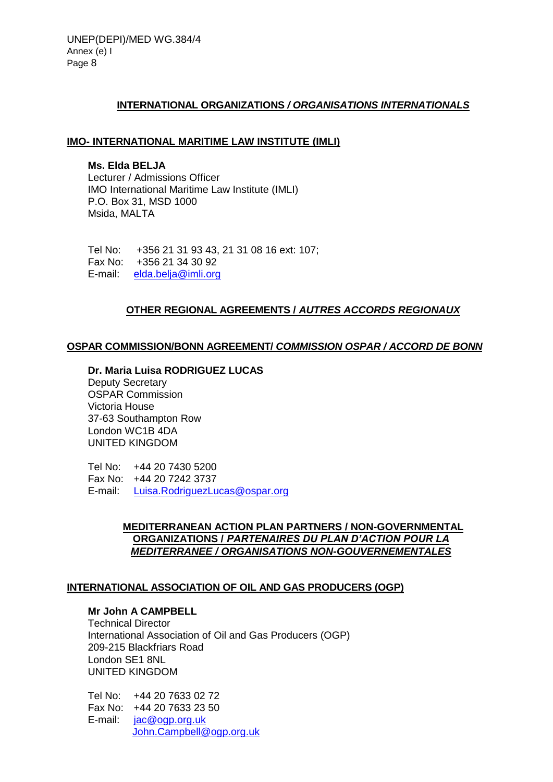#### **INTERNATIONAL ORGANIZATIONS** */ ORGANISATIONS INTERNATIONALS*

#### **IMO- INTERNATIONAL MARITIME LAW INSTITUTE (IMLI)**

**Ms. Elda BELJA** Lecturer / Admissions Officer IMO International Maritime Law Institute (IMLI) P.O. Box 31, MSD 1000 Msida, MALTA

Tel No: +356 21 31 93 43, 21 31 08 16 ext: 107; Fax No: +356 21 34 30 92 E-mail: [elda.belja@imli.org](mailto:ruben.maceda@imli.org)

## **OTHER REGIONAL AGREEMENTS /** *AUTRES ACCORDS REGIONAUX*

#### **OSPAR COMMISSION/BONN AGREEMENT/** *COMMISSION OSPAR / ACCORD DE BONN*

#### **Dr. Maria Luisa RODRIGUEZ LUCAS**

Deputy Secretary OSPAR Commission Victoria House 37-63 Southampton Row London WC1B 4DA UNITED KINGDOM

Tel No: +44 20 7430 5200 Fax No: +44 20 7242 3737 E-mail: [Luisa.RodriguezLucas@ospar.org](mailto:Luisa.RodriguezLucas@ospar.org)

## **MEDITERRANEAN ACTION PLAN PARTNERS / NON-GOVERNMENTAL ORGANIZATIONS /** *PARTENAIRES DU PLAN D'ACTION POUR LA MEDITERRANEE / ORGANISATIONS NON-GOUVERNEMENTALES*

#### **INTERNATIONAL ASSOCIATION OF OIL AND GAS PRODUCERS (OGP)**

## **Mr John A CAMPBELL**

Technical Director International Association of Oil and Gas Producers (OGP) 209-215 Blackfriars Road London SE1 8NL UNITED KINGDOM

Tel No: +44 20 7633 02 72 Fax No: +44 20 7633 23 50 E-mail: [jac@ogp.org.uk](mailto:jac@ogp.org.uk) [John.Campbell@ogp.org.uk](mailto:John.Campbell@ogp.org.uk)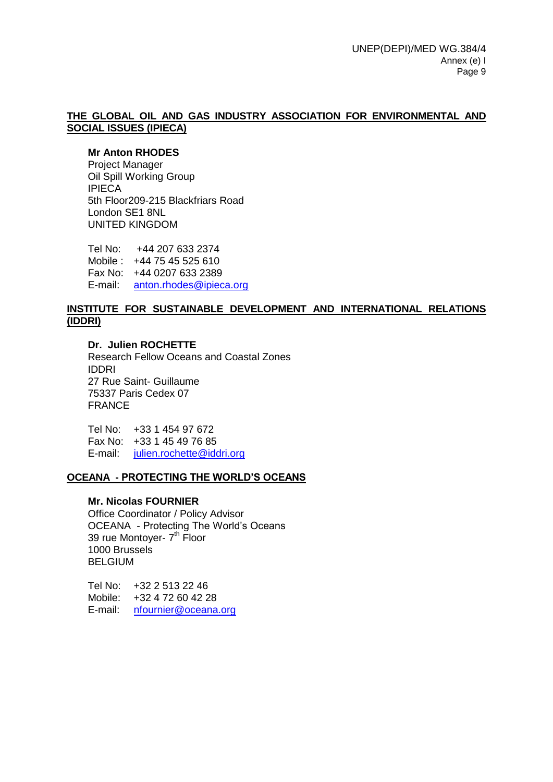#### **THE GLOBAL OIL AND GAS INDUSTRY ASSOCIATION FOR ENVIRONMENTAL AND SOCIAL ISSUES (IPIECA)**

#### **Mr Anton RHODES**

Project Manager Oil Spill Working Group IPIECA 5th Floor209-215 Blackfriars Road London SE1 8NL UNITED KINGDOM

Tel No: +44 207 633 2374 Mobile : +44 75 45 525 610 Fax No: +44 0207 633 2389 E-mail: [anton.rhodes@ipieca.org](mailto:anton.rhodes@ipieca.org)

#### **INSTITUTE FOR SUSTAINABLE DEVELOPMENT AND INTERNATIONAL RELATIONS (IDDRI)**

**Dr. Julien ROCHETTE** Research Fellow Oceans and Coastal Zones IDDRI 27 Rue Saint- Guillaume 75337 Paris Cedex 07 FRANCE

Tel No: +33 1 454 97 672 Fax No: +33 1 45 49 76 85 E-mail: [julien.rochette@iddri.org](mailto:julien.rochette@iddri.org)

#### **OCEANA - PROTECTING THE WORLD'S OCEANS**

#### **Mr. Nicolas FOURNIER**

Office Coordinator / Policy Advisor OCEANA - Protecting The World's Oceans 39 rue Montoyer- 7<sup>th</sup> Floor 1000 Brussels BELGIUM

Tel No: +32 2 513 22 46 Mobile: +32 4 72 60 42 28 E-mail: [nfournier@oceana.org](mailto:nfournier@oceana.org)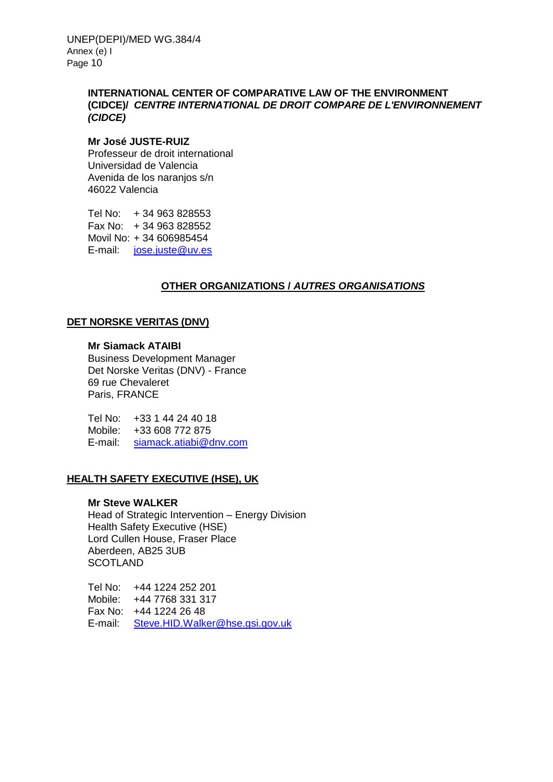## **INTERNATIONAL CENTER OF COMPARATIVE LAW OF THE ENVIRONMENT (CIDCE)/** *CENTRE INTERNATIONAL DE DROIT COMPARE DE L'ENVIRONNEMENT (CIDCE)*

#### **Mr José JUSTE-RUIZ**

Professeur de droit international Universidad de Valencia Avenida de los naranjos s/n 46022 Valencia

Tel No: + 34 963 828553 Fax No: + 34 963 828552 Movil No: + 34 606985454 E-mail: [jose.juste@uv.es](mailto:jose.juste@uv.es)

## **OTHER ORGANIZATIONS /** *AUTRES ORGANISATIONS*

## **DET NORSKE VERITAS (DNV)**

## **Mr Siamack ATAIBI**

Business Development Manager Det Norske Veritas (DNV) - France 69 rue Chevaleret Paris, FRANCE

Tel No: +33 1 44 24 40 18 Mobile: +33 608 772 875 E-mail: [siamack.atiabi@dnv.com](mailto:siamack.atiabi@dnv.com)

## **HEALTH SAFETY EXECUTIVE (HSE), UK**

#### **Mr Steve WALKER**

Head of Strategic Intervention – Energy Division Health Safety Executive (HSE) Lord Cullen House, Fraser Place Aberdeen, AB25 3UB **SCOTLAND** 

Tel No: +44 1224 252 201 Mobile: +44 7768 331 317 Fax No: +44 1224 26 48 E-mail: [Steve.HID.Walker@hse.gsi.gov.uk](mailto:Steve.HID.Walker@hse.gsi.gov.uk)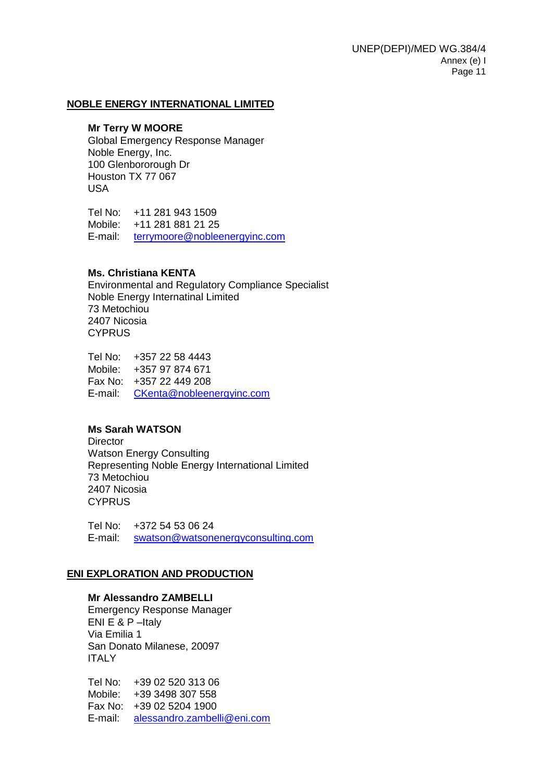#### **NOBLE ENERGY INTERNATIONAL LIMITED**

#### **Mr Terry W MOORE**

Global Emergency Response Manager Noble Energy, Inc. 100 Glenbororough Dr Houston TX 77 067 USA

Tel No: +11 281 943 1509 Mobile: +11 281 881 21 25 E-mail: [terrymoore@nobleenergyinc.com](mailto:terrymoore@nobleenergyinc.com)

#### **Ms. Christiana KENTA**

Environmental and Regulatory Compliance Specialist Noble Energy Internatinal Limited 73 Metochiou 2407 Nicosia **CYPRUS** 

Tel No: +357 22 58 4443 Mobile: +357 97 874 671 Fax No: +357 22 449 208 E-mail: [CKenta@nobleenergyinc.com](mailto:CKenta@nobleenergyinc.com)

#### **Ms Sarah WATSON**

**Director** Watson Energy Consulting Representing Noble Energy International Limited 73 Metochiou 2407 Nicosia **CYPRUS** 

Tel No: +372 54 53 06 24 E-mail: [swatson@watsonenergyconsulting.com](mailto:swatson@watsonenergyconsulting.com)

#### **ENI EXPLORATION AND PRODUCTION**

#### **Mr Alessandro ZAMBELLI**

Emergency Response Manager ENI E & P –Italy Via Emilia 1 San Donato Milanese, 20097 **ITALY** 

Tel No: +39 02 520 313 06 Mobile: +39 3498 307 558 Fax No: +39 02 5204 1900 E-mail: [alessandro.zambelli@eni.com](mailto:ALESSANDRO.ZAMBELLI@ENI.COM)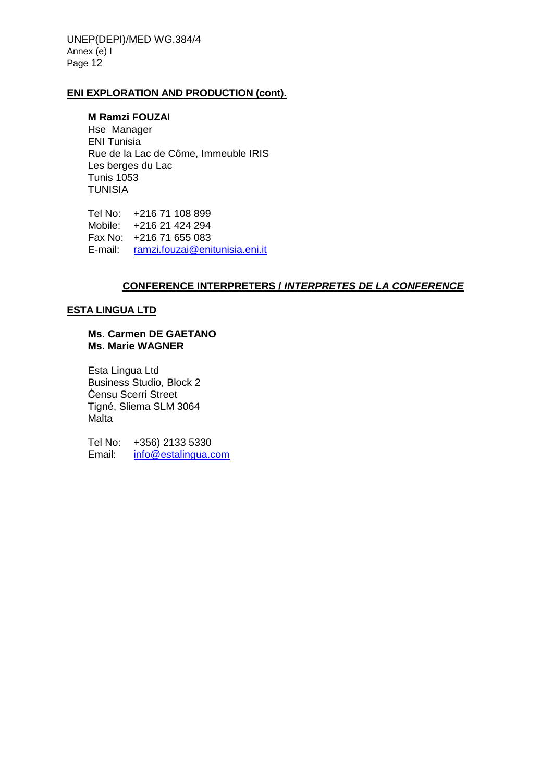UNEP(DEPI)/MED WG.384/4 Annex (e) I Page 12

#### **ENI EXPLORATION AND PRODUCTION (cont).**

#### **M Ramzi FOUZAI**

Hse Manager ENI Tunisia Rue de la Lac de Côme, Immeuble IRIS Les berges du Lac Tunis 1053 TUNISIA

Tel No: +216 71 108 899 Mobile: +216 21 424 294 Fax No: +216 71 655 083 E-mail: [ramzi.fouzai@enitunisia.eni.it](mailto:ramzi.fouzai@enitunisia.eni.it)

#### **CONFERENCE INTERPRETERS /** *INTERPRETES DE LA CONFERENCE*

#### **ESTA LINGUA LTD**

#### **Ms. Carmen DE GAETANO Ms. Marie WAGNER**

Esta Lingua Ltd Business Studio, Block 2 Ċensu Scerri Street Tigné, Sliema SLM 3064 **Malta** 

Tel No: +356) 2133 5330 Email: [info@estalingua.com](mailto:info@estalingua.com)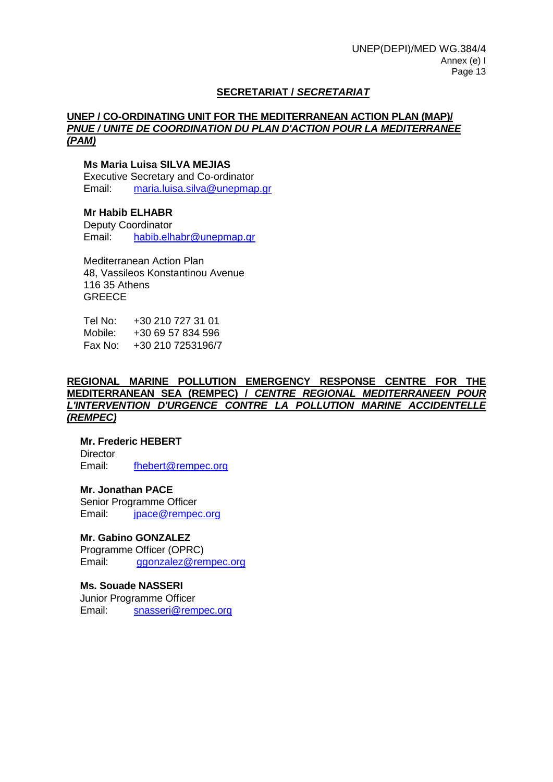## **SECRETARIAT /** *SECRETARIAT*

#### **UNEP / CO-ORDINATING UNIT FOR THE MEDITERRANEAN ACTION PLAN (MAP)/**  *PNUE / UNITE DE COORDINATION DU PLAN D'ACTION POUR LA MEDITERRANEE (PAM)*

#### **Ms Maria Luisa SILVA MEJIAS**

Executive Secretary and Co-ordinator Email: [maria.luisa.silva@unepmap.gr](mailto:maria.luisa.silva@unepmap.gr)

#### **Mr Habib ELHABR**

Deputy Coordinator Email: [habib.elhabr@unepmap.gr](mailto:habib.elhabr@unepmap.gr)

Mediterranean Action Plan 48, Vassileos Konstantinou Avenue 116 35 Athens **GREECE** 

Tel No: +30 210 727 31 01 Mobile: +30 69 57 834 596 Fax No: +30 210 7253196/7

#### **REGIONAL MARINE POLLUTION EMERGENCY RESPONSE CENTRE FOR THE MEDITERRANEAN SEA (REMPEC) /** *CENTRE REGIONAL MEDITERRANEEN POUR L'INTERVENTION D'URGENCE CONTRE LA POLLUTION MARINE ACCIDENTELLE (REMPEC)*

#### **Mr. Frederic HEBERT**

**Director** Email: [fhebert@rempec.org](mailto:fhebert@rempec.org)

#### **Mr. Jonathan PACE**

Senior Programme Officer Email: [jpace@rempec.org](mailto:jpace@rempec.org)

#### **Mr. Gabino GONZALEZ**

Programme Officer (OPRC) Email: [ggonzalez@rempec.org](mailto:ggonzalez@rempec.org)

#### **Ms. Souade NASSERI**

Junior Programme Officer Email: [snasseri@rempec.org](mailto:snasseri@rempec.org)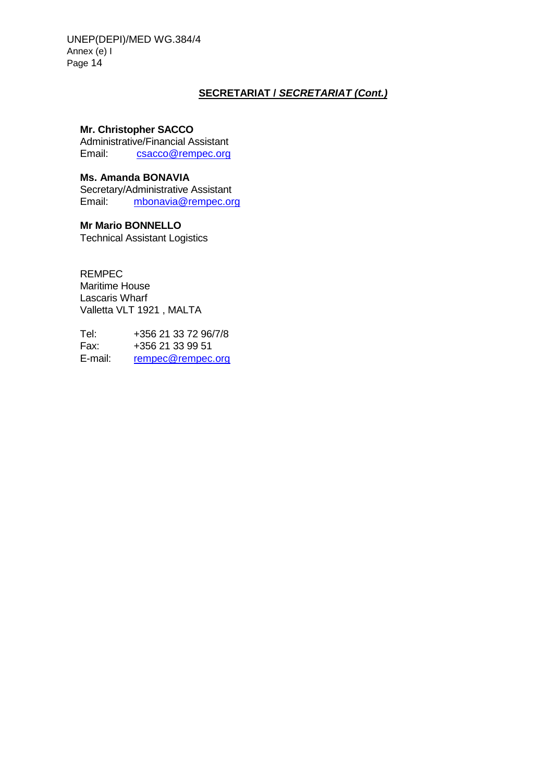UNEP(DEPI)/MED WG.384/4 Annex (e) I Page 14

## **SECRETARIAT /** *SECRETARIAT (Cont.)*

## **Mr. Christopher SACCO**

Administrative/Financial Assistant Email: [csacco@rempec.org](mailto:csacco@rempec.org)

#### **Ms. Amanda BONAVIA**

Secretary/Administrative Assistant Email: [mbonavia@rempec.org](mailto:mbonavia@rempec.org)

## **Mr Mario BONNELLO**

Technical Assistant Logistics

REMPEC Maritime House Lascaris Wharf Valletta VLT 1921 , MALTA

Tel: +356 21 33 72 96/7/8<br>Fax: +356 21 33 99 51 +356 21 33 99 51 E-mail: [rempec@rempec.org](mailto:rempec@rempec.org)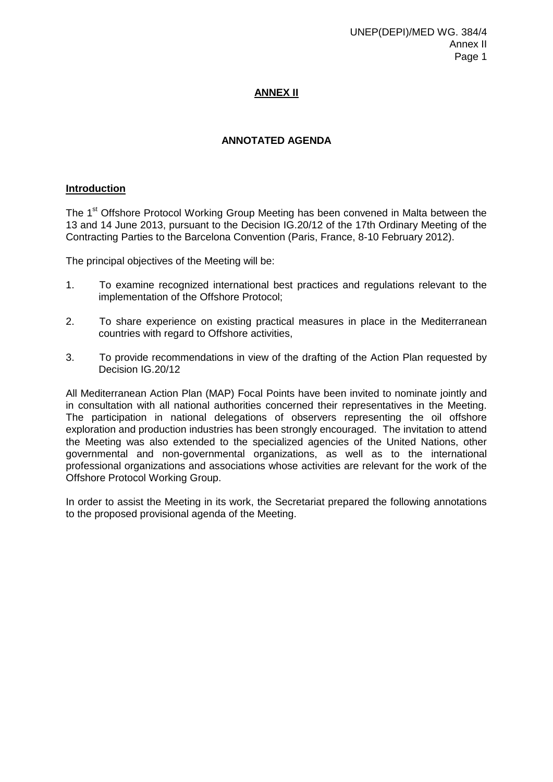## **ANNEX II**

## **ANNOTATED AGENDA**

#### **Introduction**

The 1<sup>st</sup> Offshore Protocol Working Group Meeting has been convened in Malta between the 13 and 14 June 2013, pursuant to the Decision IG.20/12 of the 17th Ordinary Meeting of the Contracting Parties to the Barcelona Convention (Paris, France, 8-10 February 2012).

The principal objectives of the Meeting will be:

- 1. To examine recognized international best practices and regulations relevant to the implementation of the Offshore Protocol;
- 2. To share experience on existing practical measures in place in the Mediterranean countries with regard to Offshore activities,
- 3. To provide recommendations in view of the drafting of the Action Plan requested by Decision IG.20/12

All Mediterranean Action Plan (MAP) Focal Points have been invited to nominate jointly and in consultation with all national authorities concerned their representatives in the Meeting. The participation in national delegations of observers representing the oil offshore exploration and production industries has been strongly encouraged. The invitation to attend the Meeting was also extended to the specialized agencies of the United Nations, other governmental and non-governmental organizations, as well as to the international professional organizations and associations whose activities are relevant for the work of the Offshore Protocol Working Group.

In order to assist the Meeting in its work, the Secretariat prepared the following annotations to the proposed provisional agenda of the Meeting.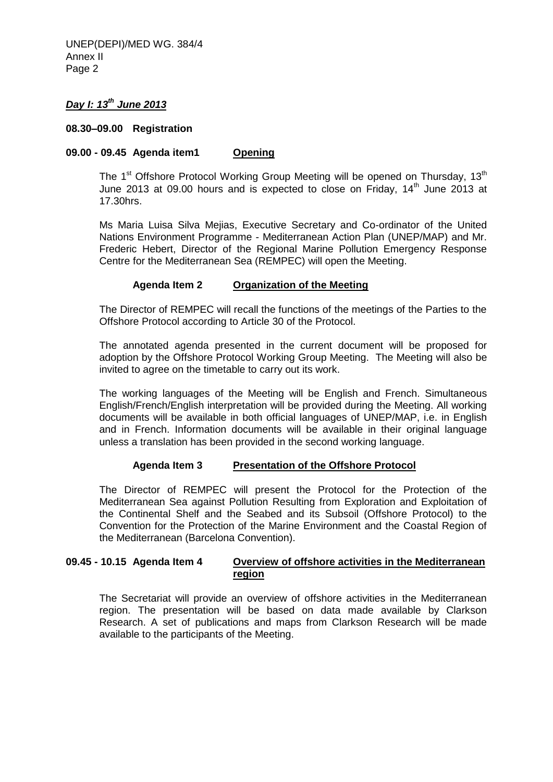UNEP(DEPI)/MED WG. 384/4 Annex II Page 2

## *Day I: 13th June 2013*

#### **08.30–09.00 Registration**

#### **09.00 - 09.45 Agenda item1 Opening**

The 1<sup>st</sup> Offshore Protocol Working Group Meeting will be opened on Thursday, 13<sup>th</sup> June 2013 at 09.00 hours and is expected to close on Friday,  $14<sup>th</sup>$  June 2013 at 17.30hrs.

Ms Maria Luisa Silva Mejias, Executive Secretary and Co-ordinator of the United Nations Environment Programme - Mediterranean Action Plan (UNEP/MAP) and Mr. Frederic Hebert, Director of the Regional Marine Pollution Emergency Response Centre for the Mediterranean Sea (REMPEC) will open the Meeting.

#### **Agenda Item 2 Organization of the Meeting**

The Director of REMPEC will recall the functions of the meetings of the Parties to the Offshore Protocol according to Article 30 of the Protocol.

The annotated agenda presented in the current document will be proposed for adoption by the Offshore Protocol Working Group Meeting. The Meeting will also be invited to agree on the timetable to carry out its work.

The working languages of the Meeting will be English and French. Simultaneous English/French/English interpretation will be provided during the Meeting. All working documents will be available in both official languages of UNEP/MAP, i.e. in English and in French. Information documents will be available in their original language unless a translation has been provided in the second working language.

#### **Agenda Item 3 Presentation of the Offshore Protocol**

The Director of REMPEC will present the Protocol for the Protection of the Mediterranean Sea against Pollution Resulting from Exploration and Exploitation of the Continental Shelf and the Seabed and its Subsoil (Offshore Protocol) to the Convention for the Protection of the Marine Environment and the Coastal Region of the Mediterranean (Barcelona Convention).

#### **09.45 - 10.15 Agenda Item 4 Overview of offshore activities in the Mediterranean region**

The Secretariat will provide an overview of offshore activities in the Mediterranean region. The presentation will be based on data made available by Clarkson Research. A set of publications and maps from Clarkson Research will be made available to the participants of the Meeting.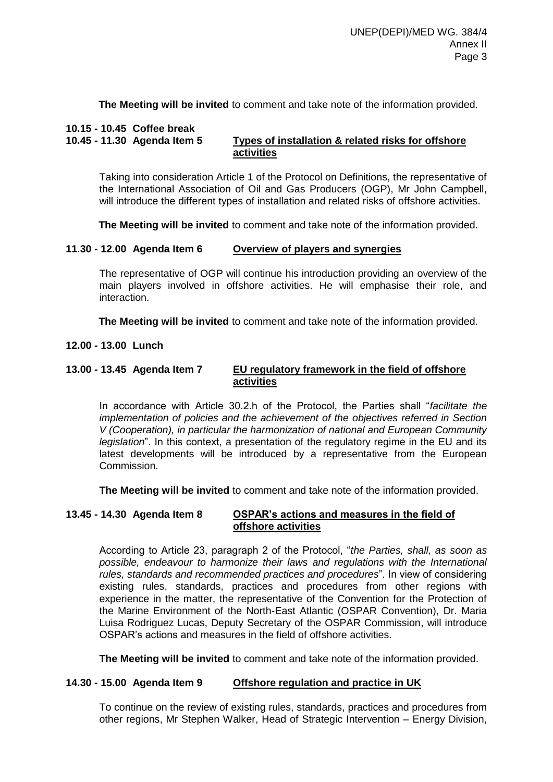**The Meeting will be invited** to comment and take note of the information provided.

#### **10.15 - 10.45 Coffee break**

## **10.45 - 11.30 Agenda Item 5 Types of installation & related risks for offshore activities**

Taking into consideration Article 1 of the Protocol on Definitions, the representative of the International Association of Oil and Gas Producers (OGP), Mr John Campbell, will introduce the different types of installation and related risks of offshore activities.

**The Meeting will be invited** to comment and take note of the information provided.

#### **11.30 - 12.00 Agenda Item 6 Overview of players and synergies**

The representative of OGP will continue his introduction providing an overview of the main players involved in offshore activities. He will emphasise their role, and interaction.

**The Meeting will be invited** to comment and take note of the information provided.

**12.00 - 13.00 Lunch**

#### **13.00 - 13.45 Agenda Item 7 EU regulatory framework in the field of offshore activities**

In accordance with Article 30.2.h of the Protocol, the Parties shall "*facilitate the implementation of policies and the achievement of the objectives referred in Section V (Cooperation), in particular the harmonization of national and European Community legislation*". In this context, a presentation of the regulatory regime in the EU and its latest developments will be introduced by a representative from the European **Commission** 

**The Meeting will be invited** to comment and take note of the information provided.

#### **13.45 - 14.30 Agenda Item 8 OSPAR's actions and measures in the field of offshore activities**

According to Article 23, paragraph 2 of the Protocol, "*the Parties, shall, as soon as possible, endeavour to harmonize their laws and regulations with the International rules, standards and recommended practices and procedures*". In view of considering existing rules, standards, practices and procedures from other regions with experience in the matter, the representative of the Convention for the Protection of the Marine Environment of the North-East Atlantic (OSPAR Convention), Dr. Maria Luisa Rodriguez Lucas, Deputy Secretary of the OSPAR Commission, will introduce OSPAR's actions and measures in the field of offshore activities.

**The Meeting will be invited** to comment and take note of the information provided.

#### **14.30 - 15.00 Agenda Item 9 Offshore regulation and practice in UK**

To continue on the review of existing rules, standards, practices and procedures from other regions, Mr Stephen Walker, Head of Strategic Intervention – Energy Division,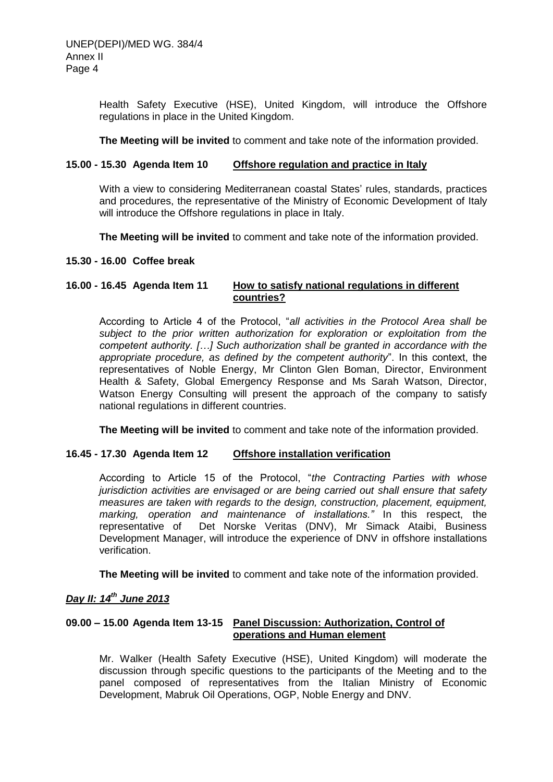Health Safety Executive (HSE), United Kingdom, will introduce the Offshore regulations in place in the United Kingdom.

**The Meeting will be invited** to comment and take note of the information provided.

#### **15.00 - 15.30 Agenda Item 10 Offshore regulation and practice in Italy**

With a view to considering Mediterranean coastal States' rules, standards, practices and procedures, the representative of the Ministry of Economic Development of Italy will introduce the Offshore regulations in place in Italy.

**The Meeting will be invited** to comment and take note of the information provided.

#### **15.30 - 16.00 Coffee break**

## **16.00 - 16.45 Agenda Item 11 How to satisfy national regulations in different countries?**

According to Article 4 of the Protocol, "*all activities in the Protocol Area shall be subject to the prior written authorization for exploration or exploitation from the competent authority. […] Such authorization shall be granted in accordance with the appropriate procedure, as defined by the competent authority*". In this context, the representatives of Noble Energy, Mr Clinton Glen Boman, Director, Environment Health & Safety, Global Emergency Response and Ms Sarah Watson, Director, Watson Energy Consulting will present the approach of the company to satisfy national regulations in different countries.

**The Meeting will be invited** to comment and take note of the information provided.

#### **16.45 - 17.30 Agenda Item 12 Offshore installation verification**

According to Article 15 of the Protocol, "*the Contracting Parties with whose jurisdiction activities are envisaged or are being carried out shall ensure that safety measures are taken with regards to the design, construction, placement, equipment, marking, operation and maintenance of installations."* In this respect, the representative of Det Norske Veritas (DNV), Mr Simack Ataibi, Business Development Manager, will introduce the experience of DNV in offshore installations verification.

**The Meeting will be invited** to comment and take note of the information provided.

## *Day II: 14th June 2013*

## **09.00 – 15.00 Agenda Item 13-15 Panel Discussion: Authorization, Control of operations and Human element**

Mr. Walker (Health Safety Executive (HSE), United Kingdom) will moderate the discussion through specific questions to the participants of the Meeting and to the panel composed of representatives from the Italian Ministry of Economic Development, Mabruk Oil Operations, OGP, Noble Energy and DNV.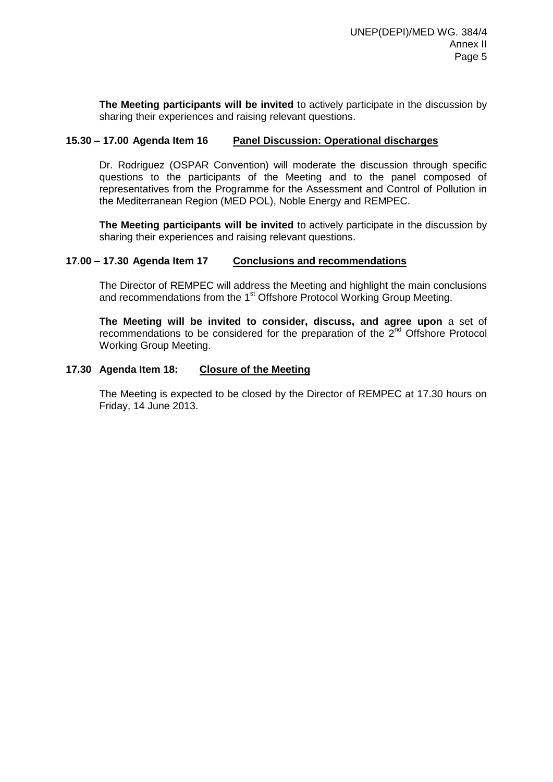**The Meeting participants will be invited** to actively participate in the discussion by sharing their experiences and raising relevant questions.

#### **15.30 – 17.00 Agenda Item 16 Panel Discussion: Operational discharges**

Dr. Rodriguez (OSPAR Convention) will moderate the discussion through specific questions to the participants of the Meeting and to the panel composed of representatives from the Programme for the Assessment and Control of Pollution in the Mediterranean Region (MED POL), Noble Energy and REMPEC.

**The Meeting participants will be invited** to actively participate in the discussion by sharing their experiences and raising relevant questions.

#### **17.00 – 17.30 Agenda Item 17 Conclusions and recommendations**

The Director of REMPEC will address the Meeting and highlight the main conclusions and recommendations from the 1<sup>st</sup> Offshore Protocol Working Group Meeting.

**The Meeting will be invited to consider, discuss, and agree upon** a set of recommendations to be considered for the preparation of the  $2<sup>nd</sup>$  Offshore Protocol Working Group Meeting.

#### **17.30 Agenda Item 18: Closure of the Meeting**

The Meeting is expected to be closed by the Director of REMPEC at 17.30 hours on Friday, 14 June 2013.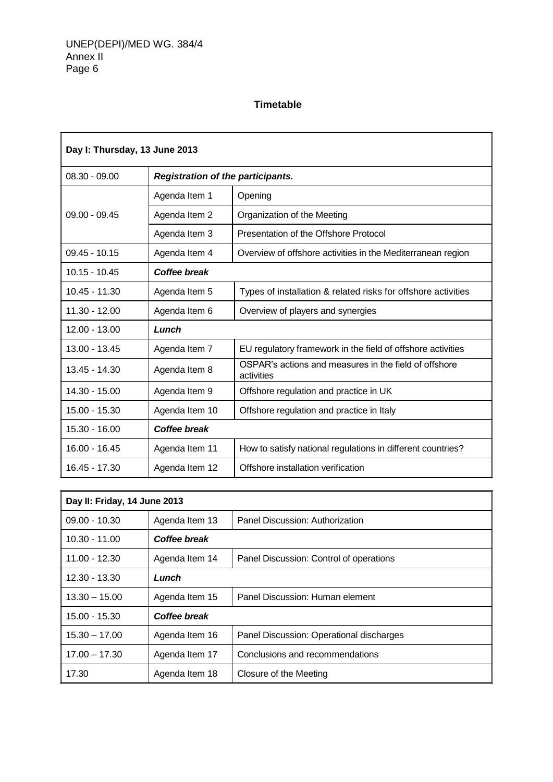## **Timetable**

| Day I: Thursday, 13 June 2013 |                                          |                                                                     |  |  |
|-------------------------------|------------------------------------------|---------------------------------------------------------------------|--|--|
| $08.30 - 09.00$               | <b>Registration of the participants.</b> |                                                                     |  |  |
|                               | Agenda Item 1                            | Opening                                                             |  |  |
| $09.00 - 09.45$               | Agenda Item 2                            | Organization of the Meeting                                         |  |  |
|                               | Agenda Item 3                            | Presentation of the Offshore Protocol                               |  |  |
| $09.45 - 10.15$               | Agenda Item 4                            | Overview of offshore activities in the Mediterranean region         |  |  |
| $10.15 - 10.45$               | Coffee break                             |                                                                     |  |  |
| $10.45 - 11.30$               | Agenda Item 5                            | Types of installation & related risks for offshore activities       |  |  |
| $11.30 - 12.00$               | Agenda Item 6                            | Overview of players and synergies                                   |  |  |
| 12.00 - 13.00                 | Lunch                                    |                                                                     |  |  |
| 13.00 - 13.45                 | Agenda Item 7                            | EU regulatory framework in the field of offshore activities         |  |  |
| $13.45 - 14.30$               | Agenda Item 8                            | OSPAR's actions and measures in the field of offshore<br>activities |  |  |
| 14.30 - 15.00                 | Agenda Item 9                            | Offshore regulation and practice in UK                              |  |  |
| 15.00 - 15.30                 | Agenda Item 10                           | Offshore regulation and practice in Italy                           |  |  |
| 15.30 - 16.00                 | <b>Coffee break</b>                      |                                                                     |  |  |
| 16.00 - 16.45                 | Agenda Item 11                           | How to satisfy national regulations in different countries?         |  |  |
| 16.45 - 17.30                 | Agenda Item 12                           | Offshore installation verification                                  |  |  |

| Day II: Friday, 14 June 2013 |                |                                          |  |
|------------------------------|----------------|------------------------------------------|--|
| $09.00 - 10.30$              | Agenda Item 13 | Panel Discussion: Authorization          |  |
| $10.30 - 11.00$              | Coffee break   |                                          |  |
| $11.00 - 12.30$              | Agenda Item 14 | Panel Discussion: Control of operations  |  |
| $12.30 - 13.30$              | Lunch          |                                          |  |
| $13.30 - 15.00$              | Agenda Item 15 | Panel Discussion: Human element          |  |
| 15.00 - 15.30                | Coffee break   |                                          |  |
| $15.30 - 17.00$              | Agenda Item 16 | Panel Discussion: Operational discharges |  |
| $17.00 - 17.30$              | Agenda Item 17 | Conclusions and recommendations          |  |
| 17.30                        | Agenda Item 18 | Closure of the Meeting                   |  |